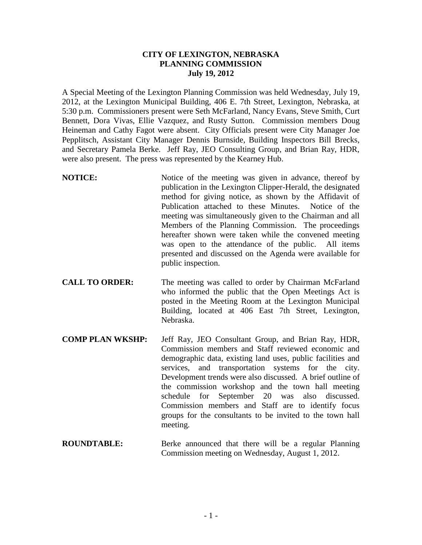## **CITY OF LEXINGTON, NEBRASKA PLANNING COMMISSION July 19, 2012**

A Special Meeting of the Lexington Planning Commission was held Wednesday, July 19, 2012, at the Lexington Municipal Building, 406 E. 7th Street, Lexington, Nebraska, at 5:30 p.m. Commissioners present were Seth McFarland, Nancy Evans, Steve Smith, Curt Bennett, Dora Vivas, Ellie Vazquez, and Rusty Sutton. Commission members Doug Heineman and Cathy Fagot were absent. City Officials present were City Manager Joe Pepplitsch, Assistant City Manager Dennis Burnside, Building Inspectors Bill Brecks, and Secretary Pamela Berke. Jeff Ray, JEO Consulting Group, and Brian Ray, HDR, were also present. The press was represented by the Kearney Hub.

- **NOTICE:** Notice of the meeting was given in advance, thereof by publication in the Lexington Clipper-Herald, the designated method for giving notice, as shown by the Affidavit of Publication attached to these Minutes. Notice of the meeting was simultaneously given to the Chairman and all Members of the Planning Commission. The proceedings hereafter shown were taken while the convened meeting was open to the attendance of the public. All items presented and discussed on the Agenda were available for public inspection.
- **CALL TO ORDER:** The meeting was called to order by Chairman McFarland who informed the public that the Open Meetings Act is posted in the Meeting Room at the Lexington Municipal Building, located at 406 East 7th Street, Lexington, Nebraska.
- **COMP PLAN WKSHP:** Jeff Ray, JEO Consultant Group, and Brian Ray, HDR, Commission members and Staff reviewed economic and demographic data, existing land uses, public facilities and services, and transportation systems for the city. Development trends were also discussed. A brief outline of the commission workshop and the town hall meeting schedule for September 20 was also discussed. Commission members and Staff are to identify focus groups for the consultants to be invited to the town hall meeting.
- **ROUNDTABLE:** Berke announced that there will be a regular Planning Commission meeting on Wednesday, August 1, 2012.